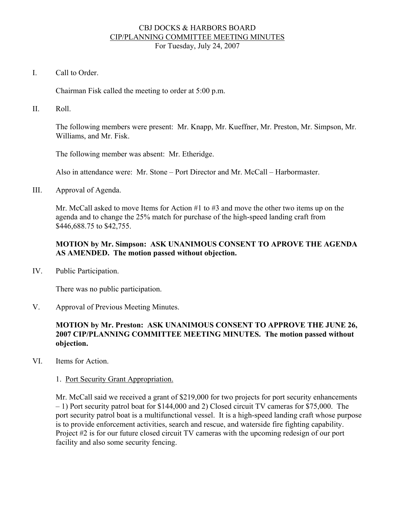### CBJ DOCKS & HARBORS BOARD CIP/PLANNING COMMITTEE MEETING MINUTES For Tuesday, July 24, 2007

I. Call to Order.

Chairman Fisk called the meeting to order at 5:00 p.m.

II. Roll.

The following members were present: Mr. Knapp, Mr. Kueffner, Mr. Preston, Mr. Simpson, Mr. Williams, and Mr. Fisk.

The following member was absent: Mr. Etheridge.

Also in attendance were: Mr. Stone – Port Director and Mr. McCall – Harbormaster.

III. Approval of Agenda.

Mr. McCall asked to move Items for Action #1 to #3 and move the other two items up on the agenda and to change the 25% match for purchase of the high-speed landing craft from \$446,688.75 to \$42,755.

## **MOTION by Mr. Simpson: ASK UNANIMOUS CONSENT TO APROVE THE AGENDA AS AMENDED. The motion passed without objection.**

IV. Public Participation.

There was no public participation.

V. Approval of Previous Meeting Minutes.

## **MOTION by Mr. Preston: ASK UNANIMOUS CONSENT TO APPROVE THE JUNE 26, 2007 CIP/PLANNING COMMITTEE MEETING MINUTES. The motion passed without objection.**

VI. Items for Action.

## 1. Port Security Grant Appropriation.

Mr. McCall said we received a grant of \$219,000 for two projects for port security enhancements – 1) Port security patrol boat for \$144,000 and 2) Closed circuit TV cameras for \$75,000. The port security patrol boat is a multifunctional vessel. It is a high-speed landing craft whose purpose is to provide enforcement activities, search and rescue, and waterside fire fighting capability. Project #2 is for our future closed circuit TV cameras with the upcoming redesign of our port facility and also some security fencing.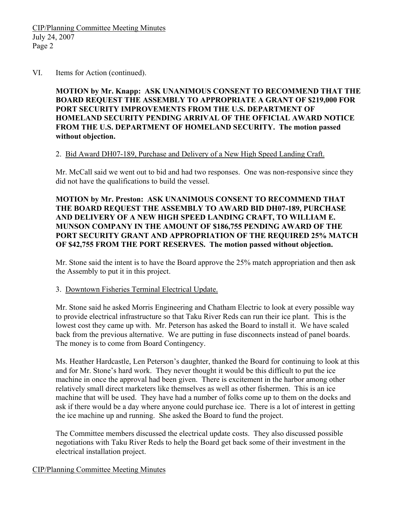#### VI. Items for Action (continued).

**MOTION by Mr. Knapp: ASK UNANIMOUS CONSENT TO RECOMMEND THAT THE BOARD REQUEST THE ASSEMBLY TO APPROPRIATE A GRANT OF \$219,000 FOR PORT SECURITY IMPROVEMENTS FROM THE U.S. DEPARTMENT OF HOMELAND SECURITY PENDING ARRIVAL OF THE OFFICIAL AWARD NOTICE FROM THE U.S. DEPARTMENT OF HOMELAND SECURITY. The motion passed without objection.**

### 2. Bid Award DH07-189, Purchase and Delivery of a New High Speed Landing Craft.

Mr. McCall said we went out to bid and had two responses. One was non-responsive since they did not have the qualifications to build the vessel.

**MOTION by Mr. Preston: ASK UNANIMOUS CONSENT TO RECOMMEND THAT THE BOARD REQUEST THE ASSEMBLY TO AWARD BID DH07-189, PURCHASE AND DELIVERY OF A NEW HIGH SPEED LANDING CRAFT, TO WILLIAM E. MUNSON COMPANY IN THE AMOUNT OF \$186,755 PENDING AWARD OF THE PORT SECURITY GRANT AND APPROPRIATION OF THE REQUIRED 25% MATCH OF \$42,755 FROM THE PORT RESERVES. The motion passed without objection.** 

Mr. Stone said the intent is to have the Board approve the 25% match appropriation and then ask the Assembly to put it in this project.

## 3. Downtown Fisheries Terminal Electrical Update.

Mr. Stone said he asked Morris Engineering and Chatham Electric to look at every possible way to provide electrical infrastructure so that Taku River Reds can run their ice plant. This is the lowest cost they came up with. Mr. Peterson has asked the Board to install it. We have scaled back from the previous alternative. We are putting in fuse disconnects instead of panel boards. The money is to come from Board Contingency.

Ms. Heather Hardcastle, Len Peterson's daughter, thanked the Board for continuing to look at this and for Mr. Stone's hard work. They never thought it would be this difficult to put the ice machine in once the approval had been given. There is excitement in the harbor among other relatively small direct marketers like themselves as well as other fishermen. This is an ice machine that will be used. They have had a number of folks come up to them on the docks and ask if there would be a day where anyone could purchase ice. There is a lot of interest in getting the ice machine up and running. She asked the Board to fund the project.

The Committee members discussed the electrical update costs. They also discussed possible negotiations with Taku River Reds to help the Board get back some of their investment in the electrical installation project.

## CIP/Planning Committee Meeting Minutes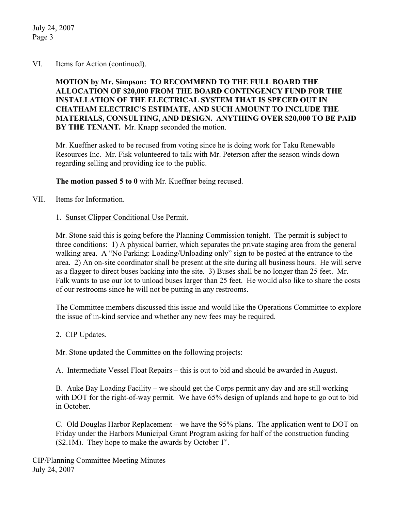July 24, 2007 Page 3

### VI. Items for Action (continued).

**MOTION by Mr. Simpson: TO RECOMMEND TO THE FULL BOARD THE ALLOCATION OF \$20,000 FROM THE BOARD CONTINGENCY FUND FOR THE INSTALLATION OF THE ELECTRICAL SYSTEM THAT IS SPECED OUT IN CHATHAM ELECTRIC'S ESTIMATE, AND SUCH AMOUNT TO INCLUDE THE MATERIALS, CONSULTING, AND DESIGN. ANYTHING OVER \$20,000 TO BE PAID BY THE TENANT.** Mr. Knapp seconded the motion.

Mr. Kueffner asked to be recused from voting since he is doing work for Taku Renewable Resources Inc. Mr. Fisk volunteered to talk with Mr. Peterson after the season winds down regarding selling and providing ice to the public.

**The motion passed 5 to 0** with Mr. Kueffner being recused.

VII. Items for Information.

### 1. Sunset Clipper Conditional Use Permit.

Mr. Stone said this is going before the Planning Commission tonight. The permit is subject to three conditions: 1) A physical barrier, which separates the private staging area from the general walking area. A "No Parking: Loading/Unloading only" sign to be posted at the entrance to the area. 2) An on-site coordinator shall be present at the site during all business hours. He will serve as a flagger to direct buses backing into the site. 3) Buses shall be no longer than 25 feet. Mr. Falk wants to use our lot to unload buses larger than 25 feet. He would also like to share the costs of our restrooms since he will not be putting in any restrooms.

The Committee members discussed this issue and would like the Operations Committee to explore the issue of in-kind service and whether any new fees may be required.

#### 2. CIP Updates.

Mr. Stone updated the Committee on the following projects:

A. Intermediate Vessel Float Repairs – this is out to bid and should be awarded in August.

B. Auke Bay Loading Facility – we should get the Corps permit any day and are still working with DOT for the right-of-way permit. We have 65% design of uplands and hope to go out to bid in October.

C. Old Douglas Harbor Replacement – we have the 95% plans. The application went to DOT on Friday under the Harbors Municipal Grant Program asking for half of the construction funding  $($2.1M)$ . They hope to make the awards by October  $1<sup>st</sup>$ .

CIP/Planning Committee Meeting Minutes July 24, 2007